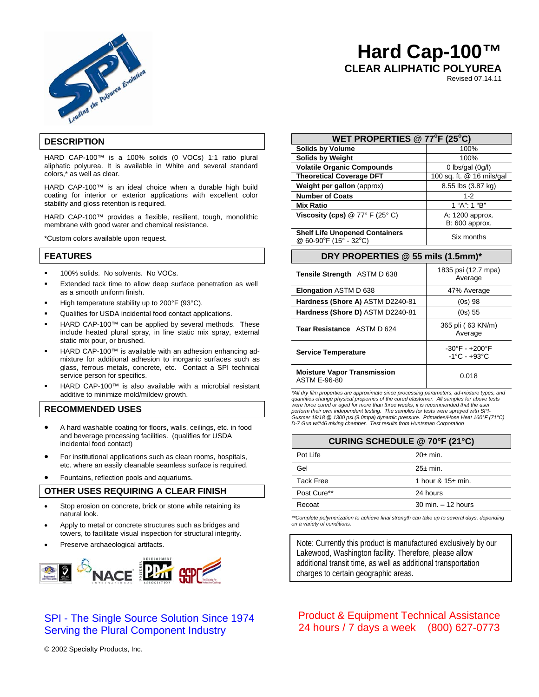

# **Hard Cap-100™ CLEAR ALIPHATIC POLYUREA**

Revised 07.14.11

## **DESCRIPTION**

HARD CAP-100™ is a 100% solids (0 VOCs) 1:1 ratio plural aliphatic polyurea. It is available in White and several standard colors,\* as well as clear.

HARD CAP-100™ is an ideal choice when a durable high build coating for interior or exterior applications with excellent color stability and gloss retention is required.

HARD CAP-100™ provides a flexible, resilient, tough, monolithic membrane with good water and chemical resistance.

\*Custom colors available upon request.

## **FEATURES**

- 100% solids. No solvents. No VOCs.
- Extended tack time to allow deep surface penetration as well as a smooth uniform finish.
- High temperature stability up to 200°F (93°C).
- Qualifies for USDA incidental food contact applications.
- HARD CAP-100™ can be applied by several methods. These include heated plural spray, in line static mix spray, external static mix pour, or brushed.
- HARD CAP-100™ is available with an adhesion enhancing admixture for additional adhesion to inorganic surfaces such as glass, ferrous metals, concrete, etc. Contact a SPI technical service person for specifics.
- HARD CAP-100™ is also available with a microbial resistant additive to minimize mold/mildew growth.

#### **RECOMMENDED USES**

- A hard washable coating for floors, walls, ceilings, etc. in food and beverage processing facilities. (qualifies for USDA incidental food contact)
- For institutional applications such as clean rooms, hospitals, etc. where an easily cleanable seamless surface is required.
- Fountains, reflection pools and aquariums.

#### **OTHER USES REQUIRING A CLEAR FINISH**

- Stop erosion on concrete, brick or stone while retaining its natural look.
- Apply to metal or concrete structures such as bridges and towers, to facilitate visual inspection for structural integrity.
- Preserve archaeological artifacts.



# SPI - The Single Source Solution Since 1974 Serving the Plural Component Industry

| WET PROPERTIES @ 77°F (25°C)                                    |                                   |
|-----------------------------------------------------------------|-----------------------------------|
| <b>Solids by Volume</b>                                         | 100%                              |
| <b>Solids by Weight</b>                                         | 100%                              |
| <b>Volatile Organic Compounds</b>                               | 0 lbs/gal $(0g/l)$                |
| <b>Theoretical Coverage DFT</b>                                 | 100 sq. ft. @ 16 mils/gal         |
| Weight per gallon (approx)                                      | 8.55 lbs (3.87 kg)                |
| <b>Number of Coats</b>                                          | $1 - 2$                           |
| <b>Mix Ratio</b>                                                | 1 "A": 1 "B"                      |
| Viscosity (cps) $@ 77° F (25° C)$                               | A: 1200 approx.<br>B: 600 approx. |
| <b>Shelf Life Unopened Containers</b><br>@ 60-90°F (15° - 32°C) | Six months                        |

# **DRY PROPERTIES @ 55 mils (1.5mm)\***

| <b>Tensile Strength ASTM D 638</b>                        | 1835 psi (12.7 mpa)<br>Average                                         |
|-----------------------------------------------------------|------------------------------------------------------------------------|
| <b>Elongation ASTM D 638</b>                              | 47% Average                                                            |
| Hardness (Shore A) ASTM D2240-81                          | $(0s)$ 98                                                              |
| Hardness (Shore D) ASTM D2240-81                          | (0s) 55                                                                |
| Tear Resistance ASTM D 624                                | 365 pli (63 KN/m)<br>Average                                           |
| <b>Service Temperature</b>                                | $-30^{\circ}$ F - $+200^{\circ}$ F<br>$-1^{\circ}$ C - $+93^{\circ}$ C |
| <b>Moisture Vapor Transmission</b><br><b>ASTM E-96-80</b> | 0.018                                                                  |

*\*All dry film properties are approximate since processing parameters, ad-mixture types, and quantities change physical properties of the cured elastomer. All samples for above tests*  were force cured or aged for more than three weeks, it is recommended that the user *perform their own independent testing. The samples for tests were sprayed with SPI-Gusmer 18/18 @ 1300 psi (9.0mpa) dynamic pressure. Primaries/Hose Heat 160°F (71°C) D-7 Gun w/#46 mixing chamber. Test results from Huntsman Corporation*

| <b>CURING SCHEDULE @ 70°F (21°C)</b> |                           |  |
|--------------------------------------|---------------------------|--|
| Pot Life                             | $20±$ min.                |  |
| Gel                                  | $25 \pm min$ .            |  |
| <b>Tack Free</b>                     | 1 hour $\&$ 15 $\pm$ min. |  |
| Post Cure**                          | 24 hours                  |  |
| Recoat                               | 30 min. - 12 hours        |  |

*\*\*Complete polymerization to achieve final strength can take up to several days, depending on a variety of conditions.* 

Note: Currently this product is manufactured exclusively by our Lakewood, Washington facility. Therefore, please allow additional transit time, as well as additional transportation charges to certain geographic areas.

Product & Equipment Technical Assistance 24 hours / 7 days a week (800) 627-0773

© 2002 Specialty Products, Inc.